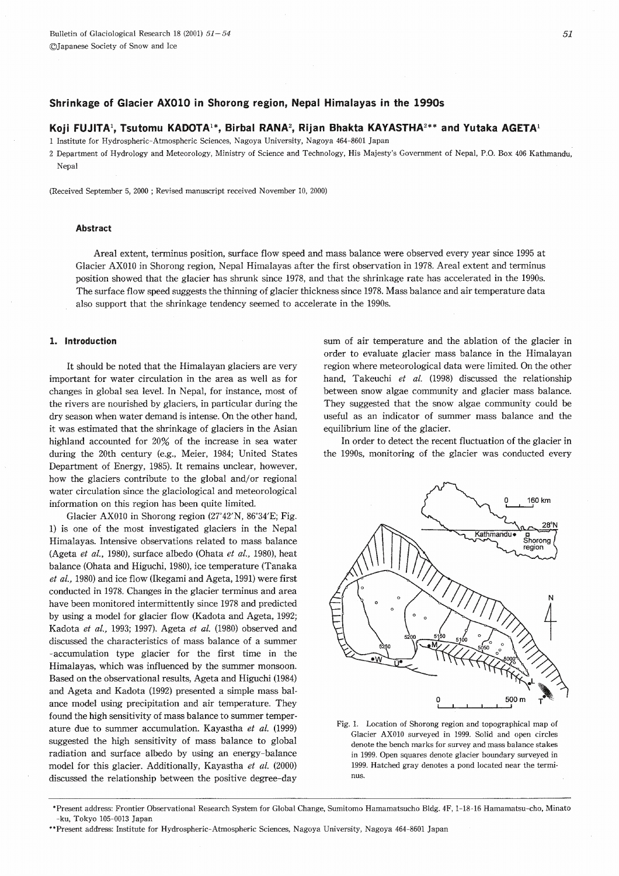# Shrinkage of Glacier AX010 in Shorong region, Nepal Himalayas in the 1990s

## Koji FUJITA<sup>1</sup>, Tsutomu KADOTA<sup>1\*</sup>, Birbal RANA<sup>2</sup>, Rijan Bhakta KAYASTHA<sup>2\*\*</sup> and Yutaka AGETA<sup>1</sup>

1 Institute for Hydrospheric-Atmospheric Sciences, Nagoya University, Nagoya 464-8601 Japan

2 Department of Hydrology and Meteorology, Ministry of Science and Technology, His Majesty's Government of Nepal, P.O. Box 406 Kathmandu, Nepal

(Received September 5, 2000; Revised manuscript received November 10, 2000)

## **Abstract**

Areal extent, terminus position, surface flow speed and mass balance were observed every year since 1995 at Glacier AX010 in Shorong region, Nepal Himalayas after the first observation in 1978. Areal extent and terminus position showed that the glacier has shrunk since 1978, and that the shrinkage rate has accelerated in the 1990s. The surface flow speed suggests the thinning of glacier thickness since 1978. Mass balance and air temperature data also support that the shrinkage tendency seemed to accelerate in the 1990s.

### 1. Introduction

It should be noted that the Himalayan glaciers are very important for water circulation in the area as well as for changes in global sea level. In Nepal, for instance, most of the rivers are nourished by glaciers, in particular during the dry season when water demand is intense. On the other hand, it was estimated that the shrinkage of glaciers in the Asian highland accounted for 20% of the increase in sea water during the 20th century (e.g., Meier, 1984; United States Department of Energy, 1985). It remains unclear, however, how the glaciers contribute to the global and/or regional water circulation since the glaciological and meteorological information on this region has been quite limited.

Glacier AX010 in Shorong region (27°42'N, 86°34'E; Fig. 1) is one of the most investigated glaciers in the Nepal Himalayas. Intensive observations related to mass balance (Ageta et al., 1980), surface albedo (Ohata et al., 1980), heat balance (Ohata and Higuchi, 1980), ice temperature (Tanaka et al., 1980) and ice flow (Ikegami and Ageta, 1991) were first conducted in 1978. Changes in the glacier terminus and area have been monitored intermittently since 1978 and predicted by using a model for glacier flow (Kadota and Ageta, 1992; Kadota et al., 1993; 1997). Ageta et al. (1980) observed and discussed the characteristics of mass balance of a summer -accumulation type glacier for the first time in the Himalayas, which was influenced by the summer monsoon. Based on the observational results, Ageta and Higuchi (1984) and Ageta and Kadota (1992) presented a simple mass balance model using precipitation and air temperature. They found the high sensitivity of mass balance to summer temperature due to summer accumulation. Kayastha et al. (1999) suggested the high sensitivity of mass balance to global radiation and surface albedo by using an energy-balance model for this glacier. Additionally, Kayastha et al. (2000) discussed the relationship between the positive degree-day

sum of air temperature and the ablation of the glacier in order to evaluate glacier mass balance in the Himalayan region where meteorological data were limited. On the other hand, Takeuchi et al. (1998) discussed the relationship between snow algae community and glacier mass balance. They suggested that the snow algae community could be useful as an indicator of summer mass balance and the equilibrium line of the glacier.

In order to detect the recent fluctuation of the glacier in the 1990s, monitoring of the glacier was conducted every





<sup>\*</sup>Present address: Frontier Observational Research System for Global Change, Sumitomo Hamamatsucho Bldg. 4F, 1-18-16 Hamamatsu-cho, Minato -ku. Tokyo 105-0013 Japan

<sup>\*\*</sup>Present address: Institute for Hydrospheric-Atmospheric Sciences, Nagoya University, Nagoya 464-8601 Japan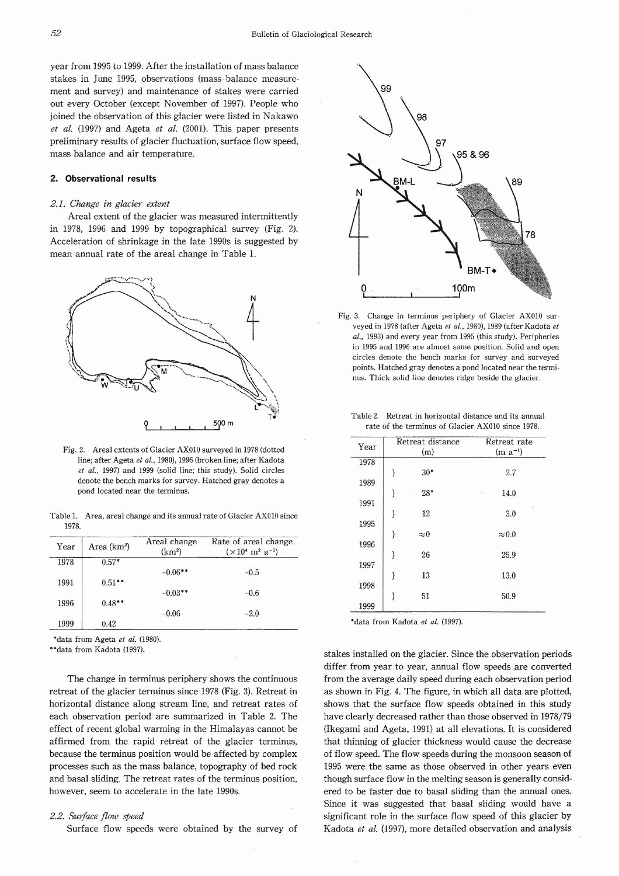year from 1995 to 1999. After the installation of mass balance stakes in June 1995, observations (mass-balance measurement and survey) and maintenance of stakes were carried out every October (except November of 1997). People who joined the observation of this glacier were listed in Nakawo  $et \ al.$  (1997) and Ageta  $et \ al.$  (2001). This paper presents preliminary results of glacier fluctuation, surface flow speed, mass balance and air temperature.

## 2. Observational results

#### 2.1. Change in glacier extent

Areal extent of the glacier was measured intermittently in 1978, 1996 and 1999 by topographical survey (Fig. 2). Acceleration of shrinkage in the late 1990s is suggested by mean annual rate of the areal change in Table 1.



Fig. 2. Areal extents of Glacier AX010 surveyed in 1978 (dotted line; after Ageta et al., 1980), 1996 (broken line; after Kadota et al., 1997) and 1999 (solid line; this study). Solid circles denote the bench marks for survey. Hatched gray denotes a pond located near the terminus.

Table 1. Area, areal change and its annual rate of Glacier AX010 since 1978

| Year | Area $(km2)$ | Areal change<br>(km <sup>2</sup> ) | Rate of areal change<br>$(\times 10^4 \text{ m}^2 \text{ a}^{-1})$ |
|------|--------------|------------------------------------|--------------------------------------------------------------------|
| 1978 | $0.57*$      | $-0.06**$                          | $-0.5$                                                             |
| 1991 | $0.51**$     |                                    |                                                                    |
| 1996 | $0.48**$     | $-0.03**$                          | $-0.6$                                                             |
|      |              | $-0.06$                            | $-2.0$                                                             |
| 1999 | 0.42         |                                    |                                                                    |

\*data from Ageta et al. (1980).

\*data from Kadota (1997)

The change in terminus periphery shows the continuous retreat of the glacier terminus since 1978 (Fig. 3). Retreat in horizontal distance along stream line, and retreat rates of each observation period are summarized in Table 2. The effect of recent global warming in the Himalayas cannot be affirmed from the rapid retreat of the glacier terminus, because the terminus position would be affected by complex processes such as the mass balance, topography of bed rock and basal sliding. The retreat rates of the terminus position, however, seem to accelerate in the late 1990s.

#### 2.2. Surface flow speed

Surface flow speeds were obtained by the survey of



Fig. 3. Change in terminus periphery of Glacier AX010 surveyed in 1978 (after Ageta et al., 1980), 1989 (after Kadota et al., 1993) and every year from 1995 (this study). Peripheries in 1995 and 1996 are almost same position. Solid and open circles denote the bench marks for survey and surveyed points. Hatched gray denotes a pond located near the terminus. Thick solid line denotes ridge beside the glacier.

| Table 2. |                                                   |  | Retreat in horizontal distance and its annual |
|----------|---------------------------------------------------|--|-----------------------------------------------|
|          | rate of the terminus of Glacier AX010 since 1978. |  |                                               |

| Year | Retreat distance<br>(m) |             | Retreat rate<br>$(m a^{-1})$ |  |
|------|-------------------------|-------------|------------------------------|--|
| 1978 |                         |             |                              |  |
| 1989 | λ                       | $30*$       | 2.7                          |  |
|      | ∤                       | $28*$       | 14.0<br>۰                    |  |
| 1991 | ł                       | 12          | 3.0                          |  |
| 1995 |                         |             |                              |  |
| 1996 | ł                       | $\approx 0$ | $\approx 0.0$                |  |
|      | ₹                       | 26          | 25.9                         |  |
| 1997 |                         |             |                              |  |
| 1998 | ł                       | 13          | 13.0                         |  |
|      | ł                       | 51          | 50.9                         |  |
| 1999 |                         |             |                              |  |

\*data from Kadota et al. (1997).

stakes installed on the glacier. Since the observation periods differ from year to year, annual flow speeds are converted from the average daily speed during each observation period as shown in Fig. 4. The figure, in which all data are plotted, shows that the surface flow speeds obtained in this study have clearly decreased rather than those observed in 1978/79 (Ikegami and Ageta, 1991) at all elevations. It is considered that thinning of glacier thickness would cause the decrease of flow speed. The flow speeds during the monsoon season of 1995 were the same as those observed in other years even though surface flow in the melting season is generally considered to be faster due to basal sliding than the annual ones. Since it was suggested that basal sliding would have a significant role in the surface flow speed of this glacier by Kadota et al. (1997), more detailed observation and analysis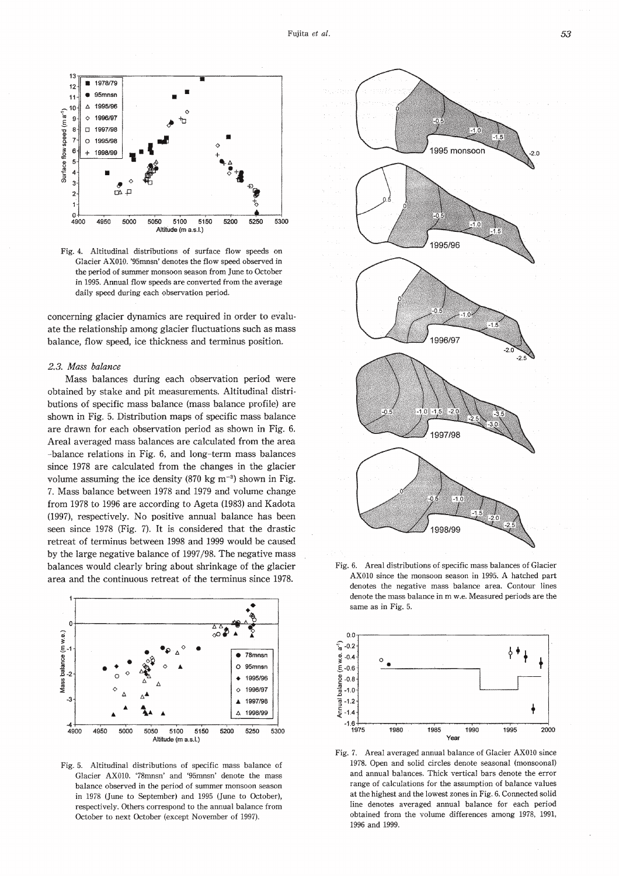

Fig. 4. Altitudinal distributions of surface flow speeds on Glacier AX010. '95mnsn' denotes the flow speed observed in the period of summer monsoon season from June to October in 1995. Annual flow speeds are converted from the average daily speed during each observation period.

concerning glacier dynamics are required in order to evaluate the relationship among glacier fluctuations such as mass balance, flow speed, ice thickness and terminus position.

### 2.3. Mass balance

Mass balances during each observation period were obtained by stake and pit measurements. Altitudinal distributions of specific mass balance (mass balance profile) are shown in Fig. 5. Distribution maps of specific mass balance are drawn for each observation period as shown in Fig. 6. Areal averaged mass balances are calculated from the area -balance relations in Fig. 6, and long-term mass balances since 1978 are calculated from the changes in the glacier volume assuming the ice density  $(870 \text{ kg m}^{-3})$  shown in Fig. 7. Mass balance between 1978 and 1979 and volume change from 1978 to 1996 are according to Ageta (1983) and Kadota (1997), respectively. No positive annual balance has been seen since 1978 (Fig. 7). It is considered that the drastic retreat of terminus between 1998 and 1999 would be caused by the large negative balance of 1997/98. The negative mass balances would clearly bring about shrinkage of the glacier area and the continuous retreat of the terminus since 1978.



Fig. 5. Altitudinal distributions of specific mass balance of Glacier AX010. '78mnsn' and '95mnsn' denote the mass balance observed in the period of summer monsoon season in 1978 (June to September) and 1995 (June to October), respectively. Others correspond to the annual balance from October to next October (except November of 1997).



Fig. 6. Areal distributions of specific mass balances of Glacier AX010 since the monsoon season in 1995. A hatched part denotes the negative mass balance area. Contour lines denote the mass balance in m w.e. Measured periods are the same as in Fig. 5.



Fig. 7. Areal averaged annual balance of Glacier AX010 since 1978. Open and solid circles denote seasonal (monsoonal) and annual balances. Thick vertical bars denote the error range of calculations for the assumption of balance values at the highest and the lowest zones in Fig. 6. Connected solid line denotes averaged annual balance for each period obtained from the volume differences among 1978, 1991, 1996 and 1999.